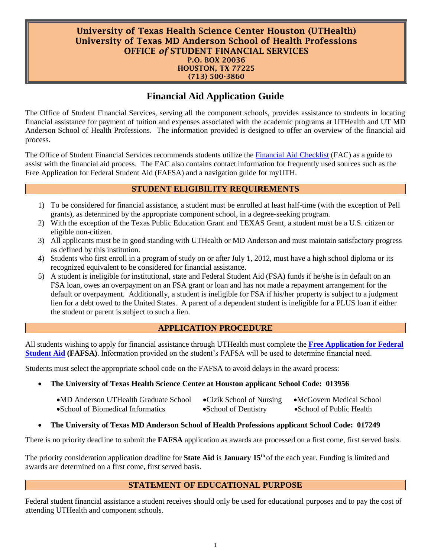#### University of Texas Health Science Center Houston (UTHealth) University of Texas MD Anderson School of Health Professions OFFICE *of* STUDENT FINANCIAL SERVICES P.O. BOX 20036 HOUSTON, TX 77225 (713) 500-3860

# **Financial Aid Application Guide**

The Office of Student Financial Services, serving all the component schools, provides assistance to students in locating financial assistance for payment of tuition and expenses associated with the academic programs at UTHealth and UT MD Anderson School of Health Professions. The information provided is designed to offer an overview of the financial aid process.

The Office of Student Financial Services recommends students utilize the [Financial Aid Checklist](https://www.uth.edu/dotAsset/6e8c013b-5fa5-416a-ac33-089fd74f5742.pdf) (FAC) as a guide to assist with the financial aid process. The FAC also contains contact information for frequently used sources such as the Free Application for Federal Student Aid (FAFSA) and a navigation guide for myUTH.

## **STUDENT ELIGIBILITY REQUIREMENTS**

- 1) To be considered for financial assistance, a student must be enrolled at least half-time (with the exception of Pell grants), as determined by the appropriate component school, in a degree-seeking program.
- 2) With the exception of the Texas Public Education Grant and TEXAS Grant, a student must be a U.S. citizen or eligible non-citizen.
- 3) All applicants must be in good standing with UTHealth or MD Anderson and must maintain satisfactory progress as defined by this institution.
- 4) Students who first enroll in a program of study on or after July 1, 2012, must have a high school diploma or its recognized equivalent to be considered for financial assistance.
- 5) A student is ineligible for institutional, state and Federal Student Aid (FSA) funds if he/she is in default on an FSA loan, owes an overpayment on an FSA grant or loan and has not made a repayment arrangement for the default or overpayment. Additionally, a student is ineligible for FSA if his/her property is subject to a judgment lien for a debt owed to the United States. A parent of a dependent student is ineligible for a PLUS loan if either the student or parent is subject to such a lien.

# **APPLICATION PROCEDURE**

All students wishing to apply for financial assistance through UTHealth must complete the **[Free Application for Federal](https://studentaid.gov/h/apply-for-aid/fafsa)  [Student Aid](https://studentaid.gov/h/apply-for-aid/fafsa) (FAFSA)**. Information provided on the student's FAFSA will be used to determine financial need.

Students must select the appropriate school code on the FAFSA to avoid delays in the award process:

### • **The University of Texas Health Science Center at Houston applicant School Code: 013956**

| •MD Anderson UTHealth Graduate School | •Cizik School of Nursing | •McGovern Medical School  |
|---------------------------------------|--------------------------|---------------------------|
| • School of Biomedical Informatics    | • School of Dentistry    | • School of Public Health |

### • **The University of Texas MD Anderson School of Health Professions applicant School Code: 017249**

There is no priority deadline to submit the **FAFSA** application as awards are processed on a first come, first served basis.

The priority consideration application deadline for **State Aid** is **January 15th** of the each year. Funding is limited and awards are determined on a first come, first served basis.

### **STATEMENT OF EDUCATIONAL PURPOSE**

Federal student financial assistance a student receives should only be used for educational purposes and to pay the cost of attending UTHealth and component schools.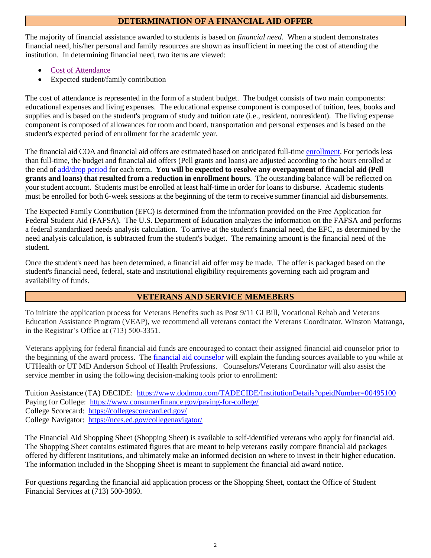# **DETERMINATION OF A FINANCIAL AID OFFER**

The majority of financial assistance awarded to students is based on *financial need*. When a student demonstrates financial need, his/her personal and family resources are shown as insufficient in meeting the cost of attending the institution. In determining financial need, two items are viewed:

- [Cost of Attendance](https://www.uth.edu/sfs/cost-of-attendance.htm)
- Expected student/family contribution

The cost of attendance is represented in the form of a student budget. The budget consists of two main components: educational expenses and living expenses. The educational expense component is composed of tuition, fees, books and supplies and is based on the student's program of study and tuition rate (i.e., resident, nonresident). The living expense component is composed of allowances for room and board, transportation and personal expenses and is based on the student's expected period of enrollment for the academic year.

The financial aid COA and financial aid offers are estimated based on anticipated full-time [enrollment.](https://www.uth.edu/sfs/policies-and-disclosures/enrollment_credit_hours.htm) For periods less than full-time, the budget and financial aid offers (Pell grants and loans) are adjusted according to the hours enrolled at the end of [add/drop](https://www.uth.edu/registrar/current-students/registration/registration-schedule.htm) period for each term. **You will be expected to resolve any overpayment of financial aid (Pell grants and loans) that resulted from a reduction in enrollment hours**. The outstanding balance will be reflected on your student account. Students must be enrolled at least half-time in order for loans to disburse. Academic students must be enrolled for both 6-week sessions at the beginning of the term to receive summer financial aid disbursements.

The Expected Family Contribution (EFC) is determined from the information provided on the Free Application for Federal Student Aid (FAFSA). The U.S. Department of Education analyzes the information on the FAFSA and performs a federal standardized needs analysis calculation. To arrive at the student's financial need, the EFC, as determined by the need analysis calculation, is subtracted from the student's budget. The remaining amount is the financial need of the student.

Once the student's need has been determined, a financial aid offer may be made. The offer is packaged based on the student's financial need, federal, state and institutional eligibility requirements governing each aid program and availability of funds.

# **VETERANS AND SERVICE MEMEBERS**

To initiate the application process for Veterans Benefits such as Post 9/11 GI Bill, Vocational Rehab and Veterans Education Assistance Program (VEAP), we recommend all veterans contact the Veterans Coordinator, Winston Matranga, in the Registrar's Office at (713) 500-3351.

Veterans applying for federal financial aid funds are encouraged to contact their assigned financial aid counselor prior to the beginning of the award process. The [financial aid counselor](https://www.uth.edu/sfs/contact.htm) will explain the funding sources available to you while at UTHealth or UT MD Anderson School of Health Professions. Counselors/Veterans Coordinator will also assist the service member in using the following decision-making tools prior to enrollment:

Tuition Assistance (TA) DECIDE: <https://www.dodmou.com/TADECIDE/InstitutionDetails?opeidNumber=00495100> Paying for College: <https://www.consumerfinance.gov/paying-for-college/> College Scorecard: <https://collegescorecard.ed.gov/> College Navigator: <https://nces.ed.gov/collegenavigator/>

The Financial Aid Shopping Sheet (Shopping Sheet) is available to self-identified veterans who apply for financial aid. The Shopping Sheet contains estimated figures that are meant to help veterans easily compare financial aid packages offered by different institutions, and ultimately make an informed decision on where to invest in their higher education. The information included in the Shopping Sheet is meant to supplement the financial aid award notice.

For questions regarding the financial aid application process or the Shopping Sheet, contact the Office of Student Financial Services at (713) 500-3860.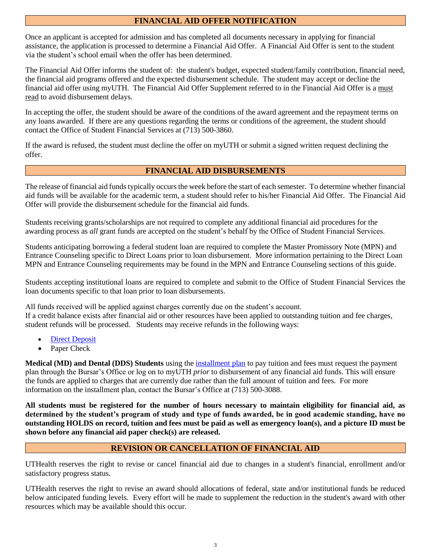# **FINANCIAL AID OFFER NOTIFICATION**

Once an applicant is accepted for admission and has completed all documents necessary in applying for financial assistance, the application is processed to determine a Financial Aid Offer. A Financial Aid Offer is sent to the student via the student's school email when the offer has been determined.

The Financial Aid Offer informs the student of: the student's budget, expected student/family contribution, financial need, the financial aid programs offered and the expected disbursement schedule. The student may accept or decline the financial aid offer using myUTH. The Financial Aid Offer Supplement referred to in the Financial Aid Offer is a must read to avoid disbursement delays.

In accepting the offer, the student should be aware of the conditions of the award agreement and the repayment terms on any loans awarded. If there are any questions regarding the terms or conditions of the agreement, the student should contact the Office of Student Financial Services at (713) 500-3860.

If the award is refused, the student must decline the offer on myUTH or submit a signed written request declining the offer.

# **FINANCIAL AID DISBURSEMENTS**

The release of financial aid funds typically occurs the week before the start of each semester. To determine whether financial aid funds will be available for the academic term, a student should refer to his/her Financial Aid Offer. The Financial Aid Offer will provide the disbursement schedule for the financial aid funds.

Students receiving grants/scholarships are not required to complete any additional financial aid procedures for the awarding process as *all* grant funds are accepted on the student's behalf by the Office of Student Financial Services.

Students anticipating borrowing a federal student loan are required to complete the Master Promissory Note (MPN) and Entrance Counseling specific to Direct Loans prior to loan disbursement. More information pertaining to the Direct Loan MPN and Entrance Counseling requirements may be found in the MPN and Entrance Counseling sections of this guide.

Students accepting institutional loans are required to complete and submit to the Office of Student Financial Services the loan documents specific to that loan prior to loan disbursements.

All funds received will be applied against charges currently due on the student's account. If a credit balance exists after financial aid or other resources have been applied to outstanding tuition and fee charges, student refunds will be processed. Students may receive refunds in the following ways:

- **[Direct Deposit](https://inside.uth.edu/finance/bursars/student/faq.htm)**
- Paper Check

**Medical (MD) and Dental (DDS) Students** using the [installment plan](https://inside.uth.edu/finance/bursars/student/faq.htm) to pay tuition and fees must request the payment plan through the Bursar's Office or log on to myUTH *prior* to disbursement of any financial aid funds. This will ensure the funds are applied to charges that are currently due rather than the full amount of tuition and fees. For more information on the installment plan, contact the Bursar's Office at (713) 500-3088.

**All students must be registered for the number of hours necessary to maintain eligibility for financial aid, as determined by the student's program of study and type of funds awarded, be in good academic standing, have no outstanding HOLDS on record, tuition and fees must be paid as well as emergency loan(s), and a picture ID must be shown before any financial aid paper check(s) are released.**

# **REVISION OR CANCELLATION OF FINANCIAL AID**

UTHealth reserves the right to revise or cancel financial aid due to changes in a student's financial, enrollment and/or satisfactory progress status.

UTHealth reserves the right to revise an award should allocations of federal, state and/or institutional funds be reduced below anticipated funding levels. Every effort will be made to supplement the reduction in the student's award with other resources which may be available should this occur.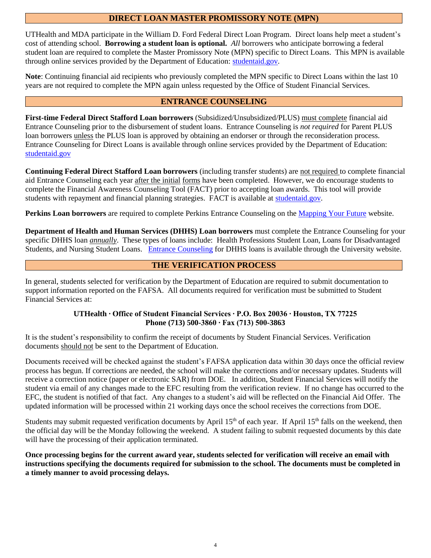### **DIRECT LOAN MASTER PROMISSORY NOTE (MPN)**

UTHealth and MDA participate in the William D. Ford Federal Direct Loan Program. Direct loans help meet a student's cost of attending school. **Borrowing a student loan is optional.** *All* borrowers who anticipate borrowing a federal student loan are required to complete the Master Promissory Note (MPN) specific to Direct Loans. This MPN is available through online services provided by the Department of Education: [studentaid.gov.](https://studentaid.gov/)

**Note**: Continuing financial aid recipients who previously completed the MPN specific to Direct Loans within the last 10 years are not required to complete the MPN again unless requested by the Office of Student Financial Services.

### **ENTRANCE COUNSELING**

**First-time Federal Direct Stafford Loan borrowers** (Subsidized/Unsubsidized/PLUS) must complete financial aid Entrance Counseling prior to the disbursement of student loans. Entrance Counseling is *not required* for Parent PLUS loan borrowers unless the PLUS loan is approved by obtaining an endorser or through the reconsideration process. Entrance Counseling for Direct Loans is available through online services provided by the Department of Education: [studentaid.gov](https://studentaid.gov/)

**Continuing Federal Direct Stafford Loan borrowers** (including transfer students) are not required to complete financial aid Entrance Counseling each year after the initial forms have been completed. However, we do encourage students to complete the Financial Awareness Counseling Tool (FACT) prior to accepting loan awards. This tool will provide students with repayment and financial planning strategies. FACT is available at [studentaid.gov.](https://studentaid.gov/)

**Perkins Loan borrowers** are required to complete Perkins Entrance Counseling on the [Mapping Your Future](http://mappingyourfuture.org/oslc/counseling/index.cfm?act=Intro&OslcTypeID=3) website.

**Department of Health and Human Services (DHHS) Loan borrowers** must complete the Entrance Counseling for your specific DHHS loan *annually*. These types of loans include: Health Professions Student Loan, Loans for Disadvantaged Students, and Nursing Student Loans. Entrance [Counseling](https://www.uth.edu/sfs/financial-aid/entrance-counseling.htm) for DHHS loans is available through the University website.

## **THE VERIFICATION PROCESS**

In general, students selected for verification by the Department of Education are required to submit documentation to support information reported on the FAFSA. All documents required for verification must be submitted to Student Financial Services at:

#### **UTHealth ∙ Office of Student Financial Services ∙ P.O. Box 20036 ∙ Houston, TX 77225 Phone (713) 500-3860 ∙ Fax (713) 500-3863**

It is the student's responsibility to confirm the receipt of documents by Student Financial Services. Verification documents should not be sent to the Department of Education.

Documents received will be checked against the student's FAFSA application data within 30 days once the official review process has begun. If corrections are needed, the school will make the corrections and/or necessary updates. Students will receive a correction notice (paper or electronic SAR) from DOE. In addition, Student Financial Services will notify the student via email of any changes made to the EFC resulting from the verification review. If no change has occurred to the EFC, the student is notified of that fact. Any changes to a student's aid will be reflected on the Financial Aid Offer. The updated information will be processed within 21 working days once the school receives the corrections from DOE.

Students may submit requested verification documents by April 15<sup>th</sup> of each year. If April 15<sup>th</sup> falls on the weekend, then the official day will be the Monday following the weekend. A student failing to submit requested documents by this date will have the processing of their application terminated.

**Once processing begins for the current award year, students selected for verification will receive an email with instructions specifying the documents required for submission to the school. The documents must be completed in a timely manner to avoid processing delays.**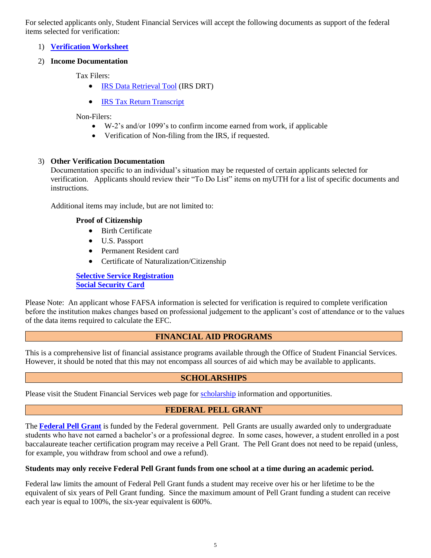For selected applicants only, Student Financial Services will accept the following documents as support of the federal items selected for verification:

1) **[Verification Worksheet](https://www.uth.edu/sfs/financial-aid/forms.htm)**

#### 2) **Income Documentation**

Tax Filers:

- [IRS Data Retrieval Tool](https://studentaid.ed.gov/sa/resources/irs-drt-text) (IRS DRT)
- [IRS Tax Return Transcript](https://www.irs.gov/individuals/get-transcript)

Non-Filers:

- W-2's and/or 1099's to confirm income earned from work, if applicable
- Verification of Non-filing from the IRS, if requested.

#### 3) **Other Verification Documentation**

Documentation specific to an individual's situation may be requested of certain applicants selected for verification. Applicants should review their "To Do List" items on myUTH for a list of specific documents and instructions.

Additional items may include, but are not limited to:

#### **Proof of Citizenship**

- Birth Certificate
- U.S. Passport
- Permanent Resident card
- Certificate of Naturalization/Citizenship

**[Selective Service Registration](https://www.sss.gov/) [Social Security Card](https://www.ssa.gov/)**

Please Note: An applicant whose FAFSA information is selected for verification is required to complete verification before the institution makes changes based on professional judgement to the applicant's cost of attendance or to the values of the data items required to calculate the EFC.

### **FINANCIAL AID PROGRAMS**

This is a comprehensive list of financial assistance programs available through the Office of Student Financial Services. However, it should be noted that this may not encompass all sources of aid which may be available to applicants.

### **SCHOLARSHIPS**

Please visit the Student Financial Services web page for [scholarship](https://www.uth.edu/sfs/financial-aid/types-of-financial-aid/scholarships.htm) information and opportunities.

### **FEDERAL PELL GRANT**

The **[Federal Pell Grant](https://www.uth.edu/sfs/financial-aid/types-of-financial-aid/grants.htm)** is funded by the Federal government. Pell Grants are usually awarded only to undergraduate students who have not earned a bachelor's or a professional degree. In some cases, however, a student enrolled in a post baccalaureate teacher certification program may receive a Pell Grant. The Pell Grant does not need to be repaid (unless, for example, you withdraw from school and owe a refund).

#### **Students may only receive Federal Pell Grant funds from one school at a time during an academic period.**

Federal law limits the amount of Federal Pell Grant funds a student may receive over his or her lifetime to be the equivalent of six years of Pell Grant funding. Since the maximum amount of Pell Grant funding a student can receive each year is equal to 100%, the six-year equivalent is 600%.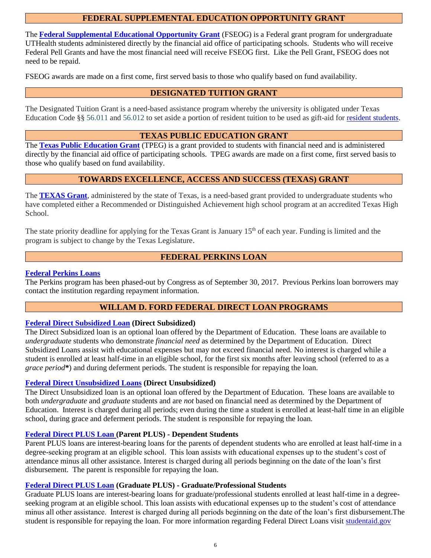### **FEDERAL SUPPLEMENTAL EDUCATION OPPORTUNITY GRANT**

The **[Federal Supplemental Educational Opportunity Grant](https://www.uth.edu/sfs/financial-aid/types-of-financial-aid/grants.htm)** (FSEOG) is a Federal grant program for undergraduate UTHealth students administered directly by the financial aid office of participating schools. Students who will receive Federal Pell Grants and have the most financial need will receive FSEOG first. Like the Pell Grant, FSEOG does not need to be repaid.

FSEOG awards are made on a first come, first served basis to those who qualify based on fund availability.

# **DESIGNATED TUITION GRANT**

The Designated Tuition Grant is a need-based assistance program whereby the university is obligated under Texas Education Code §§ [56.011](http://www.statutes.legis.state.tx.us/Docs/ED/htm/ED.56.htm#56.011) an[d 56.012](http://www.statutes.legis.state.tx.us/Docs/ED/htm/ED.56.htm#56.012) to set aside a portion of resident tuition to be used as gift-aid for [resident students.](http://texreg.sos.state.tx.us/public/readtac$ext.TacPage?sl=T&app=9&p_dir=N&p_rloc=181014&p_tloc=&p_ploc=1&pg=4&p_tac=&ti=19&pt=1&ch=21&rl=21)

#### **TEXAS PUBLIC EDUCATION GRANT**

The **Texas [Public Education Grant](https://www.uth.edu/sfs/financial-aid/types-of-financial-aid/grants.htm)** (TPEG) is a grant provided to students with financial need and is administered directly by the financial aid office of participating schools. TPEG awards are made on a first come, first served basis to those who qualify based on fund availability.

# **TOWARDS EXCELLENCE, ACCESS AND SUCCESS (TEXAS) GRANT**

The **[TEXAS Grant](https://www.uth.edu/sfs/financial-aid/types-of-financial-aid/grants.htm#texas)**, administered by the state of Texas, is a need-based grant provided to undergraduate students who have completed either a Recommended or Distinguished Achievement high school program at an accredited Texas High School.

The state priority deadline for applying for the Texas Grant is January 15<sup>th</sup> of each year. Funding is limited and the program is subject to change by the Texas Legislature.

## **FEDERAL PERKINS LOAN**

### **[Federal Perkins Loans](https://www.uth.edu/sfs/financial-aid/types-of-financial-aid/loans.htm#perkins)**

The Perkins program has been phased-out by Congress as of September 30, 2017. Previous Perkins loan borrowers may contact the institution regarding repayment information.

# **WILLAM D. FORD FEDERAL DIRECT LOAN PROGRAMS**

#### **[Federal Direct Subsidized Loan](https://www.uth.edu/sfs/financial-aid/types-of-financial-aid/loans.htm#sub) (Direct Subsidized)**

The Direct Subsidized loan is an optional loan offered by the Department of Education. These loans are available to *undergraduate* students who demonstrate *financial need* as determined by the Department of Education. Direct Subsidized Loans assist with educational expenses but may not exceed financial need. No interest is charged while a student is enrolled at least half-time in an eligible school, for the first six months after leaving school (referred to as a *grace period***\***) and during deferment periods. The student is responsible for repaying the loan.

#### **[Federal Direct Unsubsidized Loans](https://www.uth.edu/sfs/financial-aid/types-of-financial-aid/loans.htm#unsub) (Direct Unsubsidized)**

The Direct Unsubsidized loan is an optional loan offered by the Department of Education. These loans are available to both *undergraduate* and *graduate* students and are *not* based on financial need as determined by the Department of Education. Interest is charged during all periods; even during the time a student is enrolled at least-half time in an eligible school, during grace and deferment periods. The student is responsible for repaying the loan.

### **[Federal Direct](https://www.uth.edu/sfs/financial-aid/types-of-financial-aid/loans.htm#plus) PLUS Loan (Parent PLUS) - Dependent Students**

Parent PLUS loans are interest-bearing loans for the parents of dependent students who are enrolled at least half-time in a degree-seeking program at an eligible school. This loan assists with educational expenses up to the student's cost of attendance minus all other assistance. Interest is charged during all periods beginning on the date of the loan's first disbursement. The parent is responsible for repaying the loan.

#### **[Federal Direct PLUS Loan](https://www.uth.edu/sfs/financial-aid/types-of-financial-aid/loans.htm#grad_plus) (Graduate PLUS) - Graduate/Professional Students**

Graduate PLUS loans are interest-bearing loans for graduate/professional students enrolled at least half-time in a degreeseeking program at an eligible school. This loan assists with educational expenses up to the student's cost of attendance minus all other assistance. Interest is charged during all periods beginning on the date of the loan's first disbursement.The student is responsible for repaying the loan. For more information regarding Federal Direct Loans visit [studentaid.gov](https://studentaid.gov/)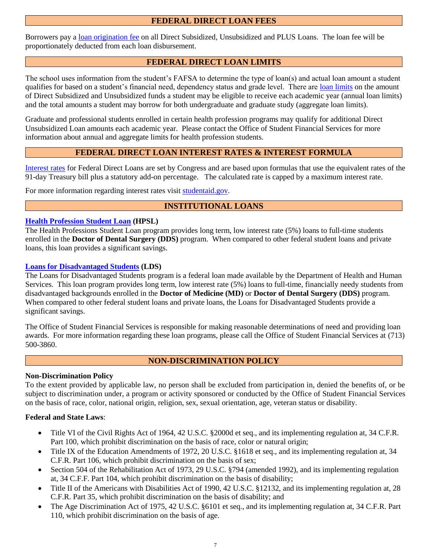# **FEDERAL DIRECT LOAN FEES**

Borrowers pay a [loan origination fee](https://studentaid.ed.gov/sa/types/loans/interest-rates#fees) on all Direct Subsidized, Unsubsidized and PLUS Loans. The loan fee will be proportionately deducted from each loan disbursement.

### **FEDERAL DIRECT LOAN LIMITS**

The school uses information from the student's FAFSA to determine the type of loan(s) and actual loan amount a student qualifies for based on a student's financial need, dependency status and grade level. There are loan [limits](https://studentaid.ed.gov/sa/types/loans/subsidized-unsubsidized#how-much) on the amount of Direct Subsidized and Unsubsidized funds a student may be eligible to receive each academic year (annual loan limits) and the total amounts a student may borrow for both undergraduate and graduate study (aggregate loan limits).

Graduate and professional students enrolled in certain health profession programs may qualify for additional Direct Unsubsidized Loan amounts each academic year. Please contact the Office of Student Financial Services for more information about annual and aggregate limits for health profession students.

# **FEDERAL DIRECT LOAN INTEREST RATES & INTEREST FORMULA**

[Interest rates](https://studentaid.ed.gov/sa/types/loans/interest-rates#rates) for Federal Direct Loans are set by Congress and are based upon formulas that use the equivalent rates of the 91-day Treasury bill plus a statutory add-on percentage. The calculated rate is capped by a maximum interest rate.

For more information regarding interest rates visit [studentaid.gov.](https://studentaid.gov/)

## **INSTITUTIONAL LOANS**

#### **[Health Profession Student Loan](https://www.uth.edu/sfs/financial-aid/types-of-financial-aid/loans.htm#hpsl) (HPSL)**

The Health Professions Student Loan program provides long term, low interest rate (5%) loans to full-time students enrolled in the **Doctor of Dental Surgery (DDS)** program. When compared to other federal student loans and private loans, this loan provides a significant savings.

#### **[Loans for Disadvantaged Students](https://www.uth.edu/sfs/financial-aid/types-of-financial-aid/loans.htm#lds) (LDS)**

The Loans for Disadvantaged Students program is a federal loan made available by the Department of Health and Human Services. This loan program provides long term, low interest rate (5%) loans to full-time, financially needy students from disadvantaged backgrounds enrolled in the **Doctor of Medicine (MD)** or **Doctor of Dental Surgery (DDS)** program. When compared to other federal student loans and private loans, the Loans for Disadvantaged Students provide a significant savings.

The Office of Student Financial Services is responsible for making reasonable determinations of need and providing loan awards. For more information regarding these loan programs, please call the Office of Student Financial Services at (713) 500-3860.

# **NON-DISCRIMINATION POLICY**

#### **Non-Discrimination Policy**

To the extent provided by applicable law, no person shall be excluded from participation in, denied the benefits of, or be subject to discrimination under, a program or activity sponsored or conducted by the Office of Student Financial Services on the basis of race, color, national origin, religion, sex, sexual orientation, age, veteran status or disability.

#### **Federal and State Laws**:

- Title VI of the Civil Rights Act of 1964, 42 U.S.C. §2000d et seq., and its implementing regulation at, 34 C.F.R. Part 100, which prohibit discrimination on the basis of race, color or natural origin;
- Title IX of the Education Amendments of 1972, 20 U.S.C. §1618 et seq., and its implementing regulation at, 34 C.F.R. Part 106, which prohibit discrimination on the basis of sex;
- Section 504 of the Rehabilitation Act of 1973, 29 U.S.C. §794 (amended 1992), and its implementing regulation at, 34 C.F.F. Part 104, which prohibit discrimination on the basis of disability;
- Title II of the Americans with Disabilities Act of 1990, 42 U.S.C. §12132, and its implementing regulation at, 28 C.F.R. Part 35, which prohibit discrimination on the basis of disability; and
- The Age Discrimination Act of 1975, 42 U.S.C. §6101 et seq., and its implementing regulation at, 34 C.F.R. Part 110, which prohibit discrimination on the basis of age.